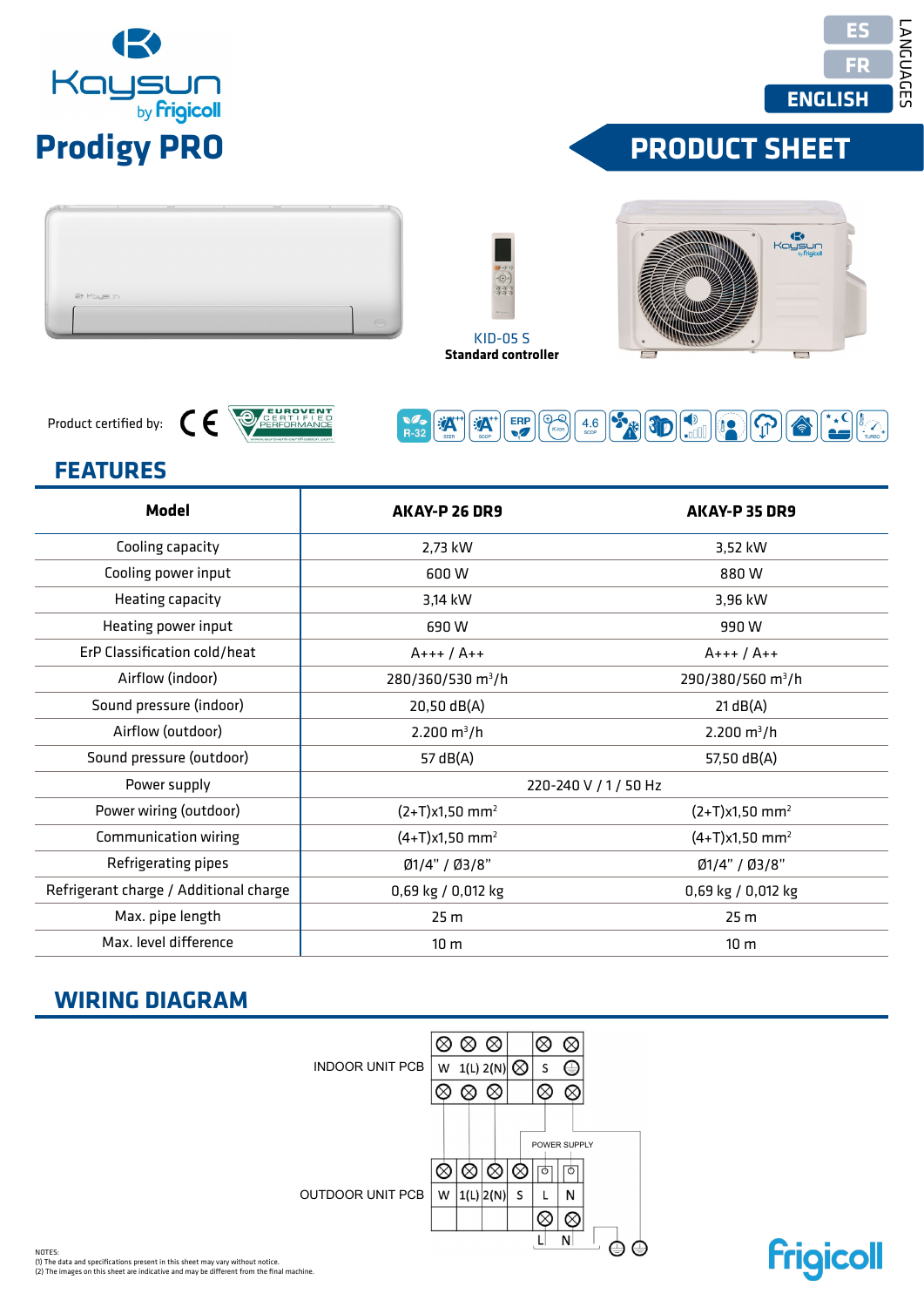NOTES: NOTES:<br>(1) The data and specifications present in this sheet may vary without notice.<br>(2) The images on this sheet are indicative and may be different from the final machine.

INDOOR UNIT PCB INDOOR UNIT PCB  $W = 1(1, 2(N))$  S S  $\bigotimes$ <br>  $\bigotimes \bigotimes$   $\bigotimes \bigotimes$ <br>  $\bigotimes \bigotimes$   $\bigotimes \bigotimes$ <br>  $\bigotimes \bigotimes$   $\bigotimes \bigotimes$   $\bigotimes$   $\bigotimes$   $\bigotimes$   $\bigotimes$   $\bigotimes$   $\bigotimes$   $\bigotimes$   $\bigotimes$   $\bigotimes$   $\bigotimes$   $\bigotimes$   $\bigotimes$   $\bigotimes$   $\bigotimes$   $\bigotimes$   $\bigotimes$ POWER SUPPLY OUTDOOR UNIT PCB  $\overline{\otimes}$  $\overline{\circ}$  $\overline{\mathsf{L}}$  $N$  $\oplus$ 

## **WIRING DIAGRAM**

| AKAY-P 26 DR9                                                                                                                                                                                                  | AKAY-P 35 DR9                 |  |  |
|----------------------------------------------------------------------------------------------------------------------------------------------------------------------------------------------------------------|-------------------------------|--|--|
| 2,73 kW                                                                                                                                                                                                        | 3,52 kW                       |  |  |
| 600W                                                                                                                                                                                                           | 880W                          |  |  |
| 3,14 kW                                                                                                                                                                                                        | 3,96 kW                       |  |  |
| 690W                                                                                                                                                                                                           | 990W                          |  |  |
| $A+++ / A++$                                                                                                                                                                                                   | $A+++ / A++$                  |  |  |
| 280/360/530 m <sup>3</sup> /h                                                                                                                                                                                  | 290/380/560 m <sup>3</sup> /h |  |  |
| 20,50 dB(A)                                                                                                                                                                                                    | 21 dB(A)                      |  |  |
| $2.200 \text{ m}^3/h$                                                                                                                                                                                          | $2.200 \text{ m}^3/h$         |  |  |
| 57 dB(A)                                                                                                                                                                                                       | 57,50 dB(A)                   |  |  |
| 220-240 V / 1 / 50 Hz                                                                                                                                                                                          |                               |  |  |
| $(2+T)x1,50$ mm <sup>2</sup>                                                                                                                                                                                   | $(2+T)x1,50$ mm <sup>2</sup>  |  |  |
| $(4+T)x1,50$ mm <sup>2</sup>                                                                                                                                                                                   | $(4+T)x1,50$ mm <sup>2</sup>  |  |  |
| Ø1/4" / Ø3/8"                                                                                                                                                                                                  | Ø1/4" / Ø3/8"                 |  |  |
| 0,69 kg / 0,012 kg                                                                                                                                                                                             | 0,69 kg / 0,012 kg            |  |  |
| 25 <sub>m</sub>                                                                                                                                                                                                | 25 m                          |  |  |
| 10 <sub>m</sub>                                                                                                                                                                                                | 10 <sub>m</sub>               |  |  |
|                                                                                                                                                                                                                |                               |  |  |
| $\otimes \otimes \otimes$<br>$\otimes$<br>$\otimes$<br>W 1(L) $2(N)$ $\bigotimes$<br>$\oplus$<br><b>INDOOR UNIT PCB</b><br>$\mathsf{S}$<br>$\otimes \otimes \otimes$<br>$\otimes$<br>$\otimes$<br>POWER SUPPLY |                               |  |  |
|                                                                                                                                                                                                                |                               |  |  |

KID-05 S

ERP

**A** 

**EXA** 

 $\overline{\mathcal{P}_{\kappa\text{-ion}}}$ 

 $4.6<sub>score</sub>$ 



Product certified by:



CE CARRIETE



 $\begin{picture}(40,40) \put(0,0){\line(1,0){10}} \put(15,0){\line(1,0){10}} \put(15,0){\line(1,0){10}} \put(15,0){\line(1,0){10}} \put(15,0){\line(1,0){10}} \put(15,0){\line(1,0){10}} \put(15,0){\line(1,0){10}} \put(15,0){\line(1,0){10}} \put(15,0){\line(1,0){10}} \put(15,0){\line(1,0){10}} \put(15,0){\line(1,0){10}} \put(15,0){\line(1$ 

**Frigicoll** 

**PRODUCT SHEET**